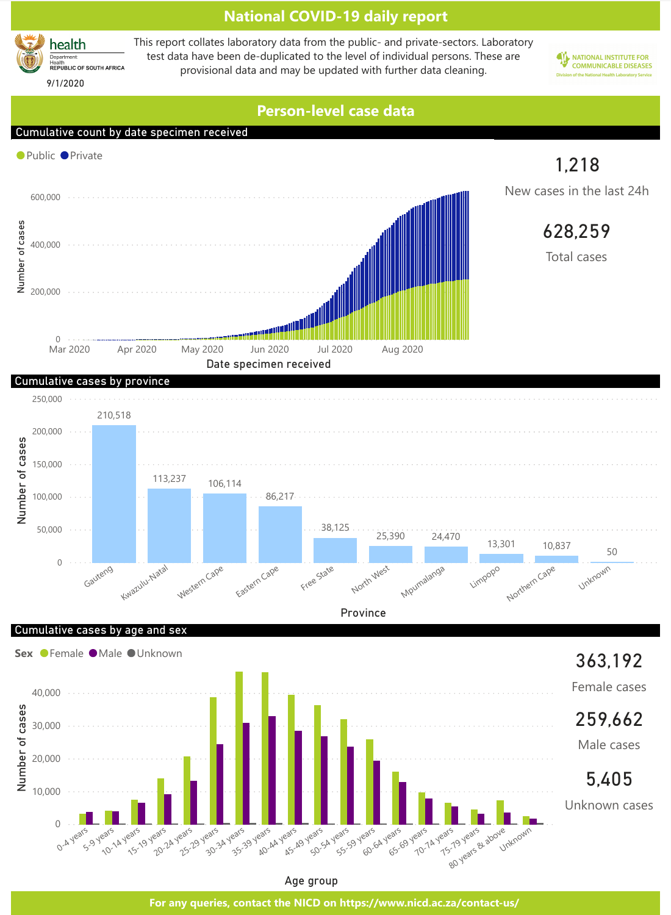



Province

Cumulative cases by age and sex



Age group

**For any queries, contact the NICD on https://www.nicd.ac.za/contact-us/**